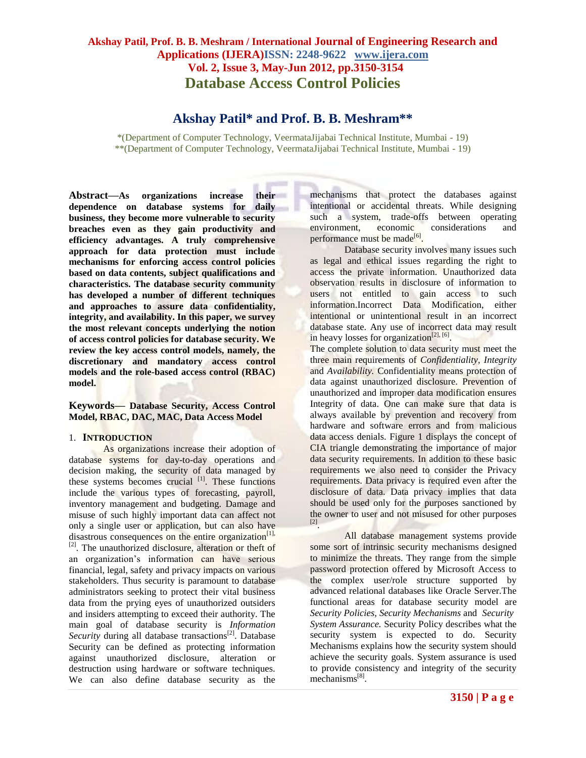# **Akshay Patil, Prof. B. B. Meshram / International Journal of Engineering Research and Applications (IJERA)ISSN: 2248-9622 www.ijera.com Vol. 2, Issue 3, May-Jun 2012, pp.3150-3154 Database Access Control Policies**

# **Akshay Patil\* and Prof. B. B. Meshram\*\***

\*(Department of Computer Technology, VeermataJijabai Technical Institute, Mumbai - 19) \*\*(Department of Computer Technology, VeermataJijabai Technical Institute, Mumbai - 19)

**Abstract—As organizations increase their dependence on database systems for daily business, they become more vulnerable to security breaches even as they gain productivity and efficiency advantages. A truly comprehensive approach for data protection must include mechanisms for enforcing access control policies based on data contents, subject qualifications and characteristics. The database security community has developed a number of different techniques and approaches to assure data confidentiality, integrity, and availability. In this paper, we survey the most relevant concepts underlying the notion of access control policies for database security. We review the key access control models, namely, the discretionary and mandatory access control models and the role-based access control (RBAC) model.**

### **Keywords— Database Security, Access Control Model, RBAC, DAC, MAC, Data Access Model**

#### 1. **INTRODUCTION**

As organizations increase their adoption of database systems for day-to-day operations and decision making, the security of data managed by these systems becomes crucial <sup>[1]</sup>. These functions include the various types of forecasting, payroll, inventory management and budgeting. Damage and misuse of such highly important data can affect not only a single user or application, but can also have disastrous consequences on the entire organization $[1]$ , [2]. The unauthorized disclosure, alteration or theft of an organization's information can have serious financial, legal, safety and privacy impacts on various stakeholders. Thus security is paramount to database administrators seeking to protect their vital business data from the prying eyes of unauthorized outsiders and insiders attempting to exceed their authority. The main goal of database security is *Information Security* during all database transactions<sup>[2]</sup>. Database Security can be defined as protecting information against unauthorized disclosure, alteration or destruction using hardware or software techniques. We can also define database security as the

mechanisms that protect the databases against intentional or accidental threats. While designing such a system, trade-offs between operating environment, economic considerations and performance must be made<sup>[6]</sup>.

Database security involves many issues such as legal and ethical issues regarding the right to access the private information. Unauthorized data observation results in disclosure of information to users not entitled to gain access to such information.Incorrect Data Modification, either intentional or unintentional result in an incorrect database state. Any use of incorrect data may result in heavy losses for organization<sup>[2], [6]</sup>.

The complete solution to data security must meet the three main requirements of *Confidentiality*, *Integrity* and *Availability.* Confidentiality means protection of data against unauthorized disclosure. Prevention of unauthorized and improper data modification ensures Integrity of data. One can make sure that data is always available by prevention and recovery from hardware and software errors and from malicious data access denials. Figure 1 displays the concept of CIA triangle demonstrating the importance of major data security requirements. In addition to these basic requirements we also need to consider the Privacy requirements. Data privacy is required even after the disclosure of data. Data privacy implies that data should be used only for the purposes sanctioned by the owner to user and not misused for other purposes [2] .

All database management systems provide some sort of intrinsic security mechanisms designed to minimize the threats. They range from the simple password protection offered by Microsoft Access to the complex user/role structure supported by advanced relational databases like Oracle Server.The functional areas for database security model are *Security Policies*, *Security Mechanisms* and *Security System Assurance.* Security Policy describes what the security system is expected to do. Security Mechanisms explains how the security system should achieve the security goals. System assurance is used to provide consistency and integrity of the security mechanisms<sup>[8]</sup>.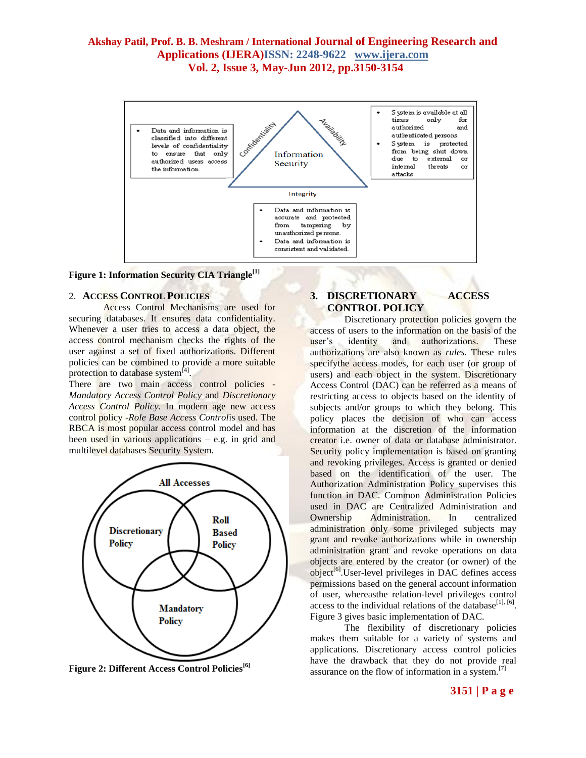# **Akshay Patil, Prof. B. B. Meshram / International Journal of Engineering Research and Applications (IJERA)ISSN: 2248-9622 www.ijera.com Vol. 2, Issue 3, May-Jun 2012, pp.3150-3154**



**Figure 1: Information Security CIA Triangle[1]**

### 2. **ACCESS CONTROL POLICIES**

Access Control Mechanisms are used for securing databases. It ensures data confidentiality. Whenever a user tries to access a data object, the access control mechanism checks the rights of the user against a set of fixed authorizations. Different policies can be combined to provide a more suitable protection to database system<sup>[4]</sup>.

There are two main access control policies -*Mandatory Access Control Policy* and *Discretionary Access Control Policy.* In modern age new access control policy -*Role Base Access Control*is used. The RBCA is most popular access control model and has been used in various applications – e.g. in grid and multilevel databases Security System.



**Figure 2: Different Access Control Policies[6]**

## **3. DISCRETIONARY ACCESS CONTROL POLICY**

Discretionary protection policies govern the access of users to the information on the basis of the user's identity and authorizations. These authorizations are also known as *rules*. These rules specifythe access modes, for each user (or group of users) and each object in the system. Discretionary Access Control (DAC) can be referred as a means of restricting access to objects based on the identity of subjects and/or groups to which they belong. This policy places the decision of who can access information at the discretion of the information creator i.e. owner of data or database administrator. Security policy implementation is based on granting and revoking privileges. Access is granted or denied based on the identification of the user. The Authorization Administration Policy supervises this function in DAC. Common Administration Policies used in DAC are Centralized Administration and Ownership Administration. In centralized administration only some privileged subjects may grant and revoke authorizations while in ownership administration grant and revoke operations on data objects are entered by the creator (or owner) of the object<sup>[6]</sup>.User-level privileges in DAC defines access permissions based on the general account information of user, whereasthe relation-level privileges control access to the individual relations of the database<sup>[1], [6]</sup>. Figure 3 gives basic implementation of DAC.

The flexibility of discretionary policies makes them suitable for a variety of systems and applications. Discretionary access control policies have the drawback that they do not provide real assurance on the flow of information in a system.[7]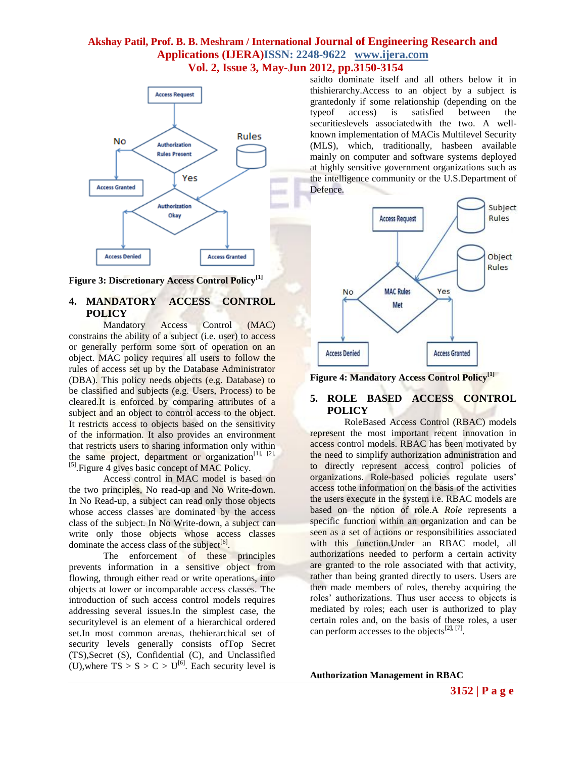# **Akshay Patil, Prof. B. B. Meshram / International Journal of Engineering Research and Applications (IJERA)ISSN: 2248-9622 www.ijera.com**

# **Vol. 2, Issue 3, May-Jun 2012, pp.3150-3154**



**Figure 3: Discretionary Access Control Policy[1]**

## **4. MANDATORY ACCESS CONTROL POLICY**

Mandatory Access Control (MAC) constrains the ability of a subject (i.e. user) to access or generally perform some sort of operation on an object. MAC policy requires all users to follow the rules of access set up by the Database Administrator (DBA). This policy needs objects (e.g. Database) to be classified and subjects (e.g. Users, Process) to be cleared.It is enforced by comparing attributes of a subject and an object to control access to the object. It restricts access to objects based on the sensitivity of the information. It also provides an environment that restricts users to sharing information only within the same project, department or organization $[1]$ ,  $[2]$ , <sup>[5]</sup>. Figure 4 gives basic concept of MAC Policy.

Access control in MAC model is based on the two principles, No read-up and No Write-down. In No Read-up, a subject can read only those objects whose access classes are dominated by the access class of the subject. In No Write-down, a subject can write only those objects whose access classes dominate the access class of the subject<sup>[6]</sup>.

The enforcement of these principles prevents information in a sensitive object from flowing, through either read or write operations, into objects at lower or incomparable access classes. The introduction of such access control models requires addressing several issues.In the simplest case, the securitylevel is an element of a hierarchical ordered set.In most common arenas, thehierarchical set of security levels generally consists ofTop Secret (TS),Secret (S), Confidential (C), and Unclassified (U), where  $TS > S > C > U^{[6]}$ . Each security level is saidto dominate itself and all others below it in thishierarchy.Access to an object by a subject is grantedonly if some relationship (depending on the typeof access) is satisfied between the securitieslevels associatedwith the two. A wellknown implementation of MACis Multilevel Security (MLS), which, traditionally, hasbeen available mainly on computer and software systems deployed at highly sensitive government organizations such as the intelligence community or the U.S.Department of Defence.



**Figure 4: Mandatory Access Control Policy[1]**

## **5. ROLE BASED ACCESS CONTROL POLICY**

RoleBased Access Control (RBAC) models represent the most important recent innovation in access control models. RBAC has been motivated by the need to simplify authorization administration and to directly represent access control policies of organizations. Role-based policies regulate users' access tothe information on the basis of the activities the users execute in the system i.e. RBAC models are based on the notion of role.A *Role* represents a specific function within an organization and can be seen as a set of actions or responsibilities associated with this function.Under an RBAC model, all authorizations needed to perform a certain activity are granted to the role associated with that activity, rather than being granted directly to users. Users are then made members of roles, thereby acquiring the roles' authorizations. Thus user access to objects is mediated by roles; each user is authorized to play certain roles and, on the basis of these roles, a user can perform accesses to the objects<sup>[2], [7]</sup>.

**Authorization Management in RBAC**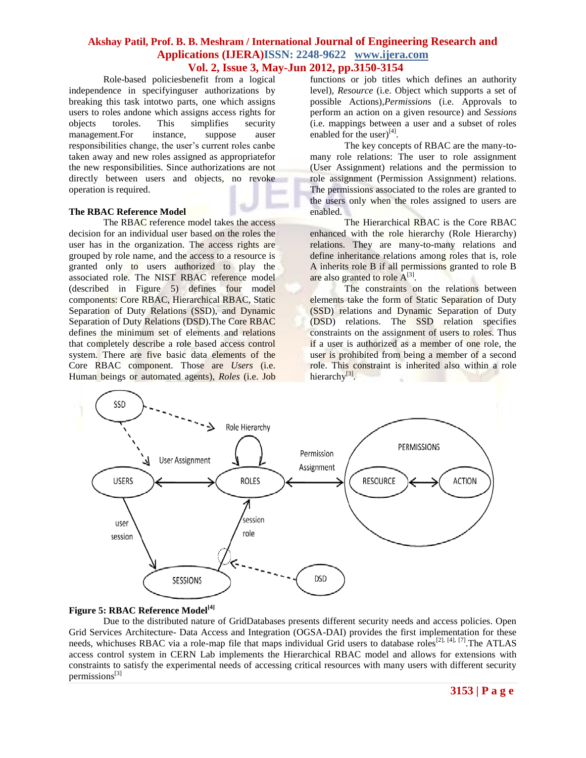# **Akshay Patil, Prof. B. B. Meshram / International Journal of Engineering Research and Applications (IJERA)ISSN: 2248-9622 www.ijera.com**

# **Vol. 2, Issue 3, May-Jun 2012, pp.3150-3154**

Role-based policiesbenefit from a logical independence in specifyinguser authorizations by breaking this task intotwo parts, one which assigns users to roles andone which assigns access rights for objects toroles. This simplifies security management.For instance, suppose auser responsibilities change, the user's current roles canbe taken away and new roles assigned as appropriatefor the new responsibilities. Since authorizations are not directly between users and objects, no revoke operation is required.

### **The RBAC Reference Model**

The RBAC reference model takes the access decision for an individual user based on the roles the user has in the organization. The access rights are grouped by role name, and the access to a resource is granted only to users authorized to play the associated role. The NIST RBAC reference model (described in Figure 5) defines four model components: Core RBAC, Hierarchical RBAC, Static Separation of Duty Relations (SSD), and Dynamic Separation of Duty Relations (DSD).The Core RBAC defines the minimum set of elements and relations that completely describe a role based access control system. There are five basic data elements of the Core RBAC component. Those are *Users* (i.e. Human beings or automated agents), *Roles* (i.e. Job

functions or job titles which defines an authority level), *Resource* (i.e. Object which supports a set of possible Actions),*Permission*s (i.e. Approvals to perform an action on a given resource) and *Sessions*  (i.e. mappings between a user and a subset of roles enabled for the user) $^{[4]}$ .

The key concepts of RBAC are the many-tomany role relations: The user to role assignment (User Assignment) relations and the permission to role assignment (Permission Assignment) relations. The permissions associated to the roles are granted to the users only when the roles assigned to users are enabled.

The Hierarchical RBAC is the Core RBAC enhanced with the role hierarchy (Role Hierarchy) relations. They are many-to-many relations and define inheritance relations among roles that is, role A inherits role B if all permissions granted to role B are also granted to role  $A^{[3]}$ .

The constraints on the relations between elements take the form of Static Separation of Duty (SSD) relations and Dynamic Separation of Duty (DSD) relations. The SSD relation specifies constraints on the assignment of users to roles. Thus if a user is authorized as a member of one role, the user is prohibited from being a member of a second role. This constraint is inherited also within a role hierarchy<sup>[3]</sup>.



## **Figure 5: RBAC Reference Model[\[4\]](RBAC ATLAS_Example.pdf)**

Due to the distributed nature of GridDatabases presents different security needs and access policies. Open Grid Services Architecture- Data Access and Integration (OGSA-DAI) provides the first implementation for these needs, whichuses RBAC via a role-map file that maps individual Grid users to database roles<sup>[2], [4], [7]</sup>. The ATLAS access control system in CERN Lab implements the Hierarchical RBAC model and allows for extensions with constraints to satisfy the experimental needs of accessing critical resources with many users with different security permissions $^{[3]}$